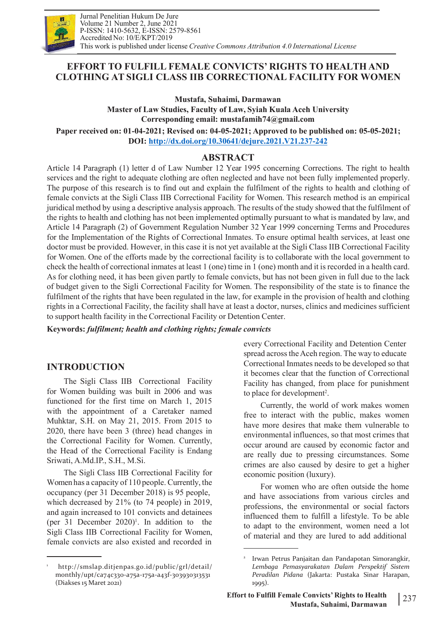

# **EFFORT TO FULFILL FEMALE CONVICTS' RIGHTS TO HEALTH AND CLOTHING AT SIGLI CLASS IIB CORRECTIONAL FACILITY FOR WOMEN**

**Mustafa, Suhaimi, Darmawan Master of Law Studies, Faculty of Law, Syiah Kuala Aceh University Corresponding email: [mustafamih74@gmail.com](mailto:mustafamih74@gmail.com) Paper received on: 01-04-2021; Revised on: 04-05-2021; Approved tobe published on: 05-05-2021; DOI: <http://dx.doi.org/10.30641/dejure.2021.V21.237-242>**

# **ABSTRACT**

Article 14 Paragraph (1) letter d of Law Number 12 Year 1995 concerning Corrections. The right to health services and the right to adequate clothing are often neglected and have not been fully implemented properly. The purpose of this research is to find out and explain the fulfilment of the rights to health and clothing of female convicts at the Sigli Class IIB Correctional Facility for Women. This research method is an empirical juridical method by using a descriptive analysis approach. The results of the study showed that the fulfilment of the rights to health and clothing has not been implemented optimally pursuant to what is mandated by law, and Article 14 Paragraph (2) of Government Regulation Number 32 Year 1999 concerning Terms and Procedures for the Implementation of the Rights of Correctional Inmates. To ensure optimal health services, at least one doctor must be provided. However, in this case it is notyet available at the Sigli Class IIB Correctional Facility for Women. One of the efforts made by the correctional facility is to collaborate with the local government to check the health of correctional inmates at least 1 (one) time in 1 (one) month and it is recorded in a health card. As for clothing need, it has been given partly to female convicts, but has not been given in full due to the lack of budget given to the Sigli Correctional Facility for Women. The responsibility of the state is to finance the fulfilment of the rights that have been regulated in the law, for example in the provision of health and clothing rights in a Correctional Facility, the facility shall have at least a doctor, nurses, clinics and medicines sufficient to support health facility in the Correctional Facility or Detention Center.

**Keywords:** *fulfilment; health and clothing rights; female convicts*

# **INTRODUCTION**

The Sigli Class IIB Correctional Facility for Women building was built in 2006 and was functioned for the first time on March 1, 2015 with the appointment of a Caretaker named Muhktar, S.H. on May 21, 2015. From 2015 to 2020, there have been 3 (three) head changes in the Correctional Facility for Women. Currently, the Head of the Correctional Facility is Endang Sriwati, A.Md.IP., S.H., M.Si.

The Sigli Class IIB Correctional Facility for Women has a capacity of 110 people. Currently, the occupancy (per 31 December 2018) is 95 people, which decreased by 21% (to 74 people) in 2019, and again increased to 101 convicts and detainees (per 31 December 2020)<sup>1</sup>. In addition to the to adapt to Sigli Class IIB Correctional Facility for Women, female convicts are also existed and recorded in

every Correctional Facility and Detention Center spread across the Aceh region. The way to educate Correctional Inmates needs to be developed so that it becomes clear that the function of Correctional Facility has changed, from place for punishment to place for development<sup>2</sup>. .

Currently, the world of work makes women free to interact with the public, makes women have more desires that make them vulnerable to environmental influences, so that most crimes that occur around are caused by economic factor and are really due to pressing circumstances. Some crimes are also caused by desire to get a higher economic position (luxury).

For women who are often outside the home and have associations from various circles and professions, the environmental or social factors influenced them to fulfill a lifestyle. To be able to adapt to the environment, women need a lot of material and they are lured to add additional

<sup>1</sup> <http://smslap.ditjenpas.go.id/public/grl/detail/> monthly/upt/ca74c330-a75a-175a-a43f-303930313531 (Diakses 15 Maret 2021)

Irwan Petrus Panjaitan dan Pandapotan Simorangkir, *Lembaga Pemasyarakatan Dalam Perspektif Sistem Peradilan Pidana* (Jakarta: Pustaka Sinar Harapan, 1995).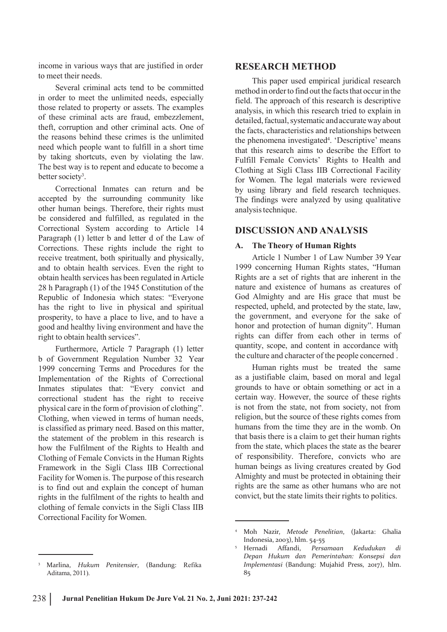income in various ways that are justified in order to meet their needs.

Several criminal acts tend to be committed in order to meet the unlimited needs, especially those related to property or assets. The examples of these criminal acts are fraud, embezzlement, theft, corruption and other criminal acts. One of the reasons behind these crimes is the unlimited need which people want to fulfill in a short time by taking shortcuts, even by violating the law. The best way is to repent and educate to become a better society<sup>3</sup>. 3 .

Correctional Inmates can return and be accepted by the surrounding community like other human beings. Therefore, their rights must be considered and fulfilled, as regulated in the Correctional System according to Article 14 Paragraph (1) letter b and letter d of the Law of Corrections. These rights include the right to receive treatment, both spiritually and physically, and to obtain health services. Even the right to obtain health services has been regulated in Article 28 h Paragraph (1) of the 1945 Constitution of the Republic of Indonesia which states: "Everyone has the right to live in physical and spiritual prosperity, to have a place to live, and to have a good and healthy living environment and have the right to obtain health services".

Furthermore, Article 7 Paragraph (1) letter b of Government Regulation Number 32 Year 1999 concerning Terms and Procedures for the Implementation of the Rights of Correctional Inmates stipulates that: "Every convict and correctional student has the right to receive physical care in the form of provision of clothing". Clothing, when viewed in terms of human needs, is classified as primary need. Based on this matter, the statement of the problem in this research is how the Fulfilment of the Rights to Health and Clothing of Female Convicts in the Human Rights Framework in the Sigli Class IIB Correctional Facility for Women is. The purpose of this research is to find out and explain the concept of human rights in the fulfilment of the rights to health and clothing of female convicts in the Sigli Class IIB Correctional Facility for Women.

This paper used empirical juridical research method in order to find out the facts that occur in the field. The approach of this research is descriptive analysis, in which this research tried to explain in detailed, factual, systematic and accurate way about the facts, characteristics and relationships between the phenomena investigated 4 . 'Descriptive' means that this research aims to describe the Effort to Fulfill Female Convicts' Rights to Health and Clothing at Sigli Class IIB Correctional Facility for Women. The legal materials were reviewed by using library and field research techniques. The findings were analyzed by using qualitative analysistechnique.

### **DISCUSSION AND ANALYSIS**

### **A. The Theory of Human Rights**

Article 1 Number 1 of Law Number 39 Year 1999 concerning Human Rights states, "Human Rights are a set of rights that are inherent in the nature and existence of humans as creatures of God Almighty and are His grace that must be respected, upheld, and protected by the state, law, the government, and everyone for the sake of honor and protection of human dignity". Human rights can differ from each other in terms of quantity, scope, and content in accordance with  $\overline{5}$ the culture and character of the people concerned .

Human rights must be treated the same as a justifiable claim, based on moral and legal grounds to have or obtain something or act in a certain way. However, the source of these rights is not from the state, not from society, not from religion, but the source of these rights comes from humans from the time they are in the womb. On that basis there is a claim to get their human rights from the state, which places the state as the bearer of responsibility. Therefore, convicts who are human beings as living creatures created by God Almighty and must be protected in obtaining their rights are the same as other humans who are not convict, but the state limits their rights to politics.

**RESEARCH METHOD**

<sup>4</sup> Moh Nazir, *Metode Penelitian*, (Jakarta: Ghalia Indonesia, 2003), hlm. 54-55

<sup>5</sup> Hernadi Affandi, *Persamaan Kedudukan di Depan Hukum dan Pemerintahan: Konsepsi dan Implementasi* (Bandung: Mujahid Press, 2017), hlm. 85

<sup>3</sup> Marlina, *Hukum Penitensier*, (Bandung: Refika Aditama, 2011).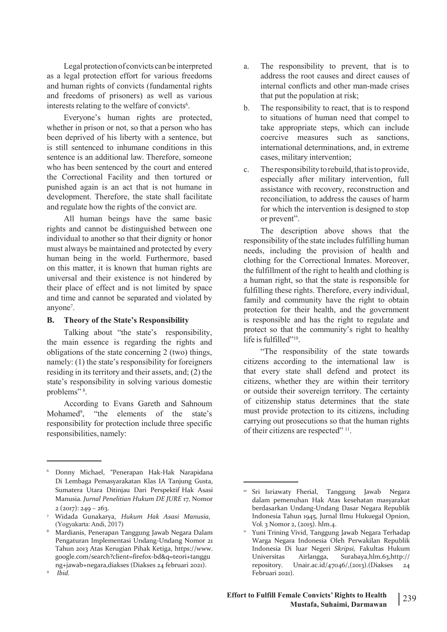Legal protection of convicts can be interpreted a. as a legal protection effort for various freedoms and human rights of convicts (fundamental rights and freedoms of prisoners) as well as various interests relating to the welfare of convicts<sup>6</sup>. .

Everyone's human rights are protected, whether in prison or not, so that a person who has been deprived of his liberty with a sentence, but is still sentenced to inhumane conditions in this sentence is an additional law. Therefore, someone who has been sentenced by the court and entered  $\epsilon$ . the Correctional Facility and then tortured or punished again is an act that is not humane in development. Therefore, the state shall facilitate and regulate how the rights of the convict are.

All human beings have the same basic rights and cannot be distinguished between one individual to another so that their dignity or honor must always be maintained and protected by every human being in the world. Furthermore, based on this matter, it is known that human rights are universal and their existence is not hindered by their place of effect and is not limited by space and time and cannot be separated and violated by anyone<sup>7</sup>. 7 .

#### **B. Theory of the State's Responsibility**

Talking about "the state's responsibility, the main essence is regarding the rights and obligations of the state concerning  $2$  (two) things, namely: (1) the state's responsibility for foreigners residing in its territory and their assets, and;  $(2)$  the state's responsibility in solving various domestic problems" 8 .

According to Evans Gareth and Sahnoum Mohamed<sup>9</sup>, "the elements of the state's must pro responsibility for protection include three specific responsibilities, namely:

- The responsibility to prevent, that is to address the root causes and direct causes of internal conflicts and other man-made crises that put the population at risk;
- b. The responsibility to react, that is to respond to situations of human need that compel to take appropriate steps, which can include coercive measures such as sanctions, international determinations, and, in extreme cases, military intervention;
- The responsibility to rebuild, that is to provide, especially after military intervention, full assistance with recovery, reconstruction and reconciliation, to address the causes of harm for which the intervention is designed to stop or prevent".

The description above shows that the responsibility of the state includes fulfilling human needs, including the provision of health and clothing for the Correctional Inmates. Moreover, the fulfillment of the right to health and clothing is a human right, so that the state is responsible for fulfilling these rights. Therefore, every individual, family and community have the right to obtain protection for their health, and the government is responsible and has the right to regulate and protect so that the community's right to healthy life is fulfilled"<sup>10</sup>. .

"The responsibility of the state towards citizens according to the international law is that every state shall defend and protect its citizens, whether they are within their territory or outside their sovereign territory. The certainty of citizenship status determines that the state must provide protection to its citizens, including carrying out prosecutions so that the human rights of their citizens are respected" <sup>11</sup>. .

<sup>6</sup> Donny Michael, "Penerapan Hak-Hak Narapidana Di Lembaga Pemasyarakatan Klas IA Tanjung Gusta, Sumatera Utara Ditinjau Dari Perspektif Hak Asasi Manusia. *Jurnal Penelitian Hukum DE JURE* 17, Nomor  $2(2017): 249 - 263.$ 

<sup>7</sup> Widada Gunakarya, *Hukum Hak Asasi Manusia*, (Yogyakarta: Andi, 2017)

<sup>8</sup> Mardianis, Penerapan Tanggung Jawab Negara Dalam Pengaturan Implementasi Undang-Undang Nomor 21 Tahun 2013 Atas Kerugian Pihak Ketiga, h[ttps://w](http://www/)ww. google.com/search?client=firefox-bd&q=teori+tanggu ng+jawab+negara,diakses (Diakses 24 februari 2021).

<sup>9</sup> *Ibid.*

<sup>&</sup>lt;sup>10</sup> Sri Isriawaty Fherial, Tanggung Jawab Negara dalam pemenuhan Hak Atas kesehatan masyarakat berdasarkan Undang-Undang Dasar Negara Republik Indonesia Tahun 1945, Jurnal Ilmu Hukuegal Opnion, Vol. 3 Nomor 2, (2015). hlm.4.

Yuni Trining Vivid, Tanggung Jawab Negara Terhadap Warga Negara Indonesia Oleh Perwakilan Republik Indonesia Di luar Negeri *Skripsi,* Fakultas Hukum Airlangga, Surabaya,hlm.63,http:// repository. Unair.ac.id/47046/,(2013).(Diakses 24 Februari 2021).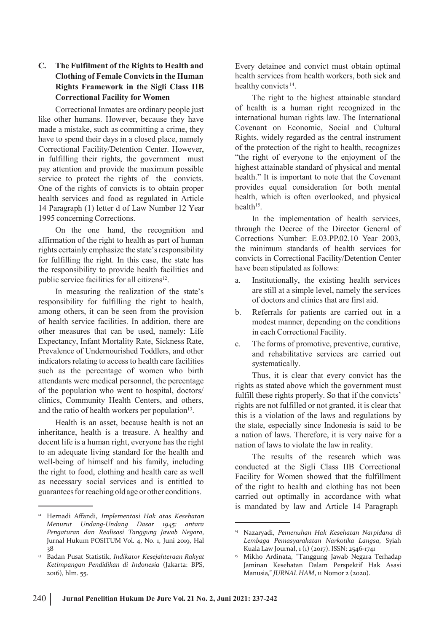## **C. The Fulfilment of the Rights to Health and Clothing of Female Convictsin the Human Rights Framework in the Sigli Class IIB Correctional Facility for Women**

Correctional Inmates are ordinary people just like other humans. However, because they have made a mistake, such as committing a crime, they have to spend their days in a closed place, namely Correctional Facility/Detention Center. However, in fulfilling their rights, the government must pay attention and provide the maximum possible service to protect the rights of the convicts. One of the rights of convicts is to obtain proper health services and food as regulated in Article 14 Paragraph (1) letter d of Law Number 12 Year 1995 concerning Corrections.

On the one hand, the recognition and affirmation of the right to health as part of human rights certainly emphasize the state's responsibility for fulfilling the right. In this case, the state has the responsibility to provide health facilities and public service facilities for all citizens<sup>12</sup>. .

In measuring the realization of the state's responsibility for fulfilling the right to health, among others, it can be seen from the provision of health service facilities. In addition, there are other measures that can be used, namely: Life Expectancy, Infant Mortality Rate, Sickness Rate, Prevalence of Undernourished Toddlers, and other indicators relating to accessto health care facilities such as the percentage of women who birth attendants were medical personnel, the percentage of the population who went to hospital, doctors/ clinics, Community Health Centers, and others, and the ratio of health workers per population<sup>13</sup>. .

Health is an asset, because health is not an inheritance, health is a treasure. A healthy and decent life is a human right, everyone has the right to an adequate living standard for the health and well-being of himself and his family, including the right to food, clothing and health care as well as necessary social services and is entitled to guaranteesforreaching oldage or other conditions.

Every detainee and convict must obtain optimal health services from health workers, both sick and healthy convicts<sup>14</sup>. .

The right to the highest attainable standard of health is a human right recognized in the international human rights law. The International Covenant on Economic, Social and Cultural Rights, widely regarded as the central instrument of the protection of the right to health, recognizes "the right of everyone to the enjoyment of the highest attainable standard of physical and mental health." It is important to note that the Covenant provides equal consideration for both mental health, which is often overlooked, and physical  $health<sup>15</sup>$ . .

In the implementation of health services, through the Decree of the Director General of Corrections Number: E.03.PP.02.10 Year 2003, the minimum standards of health services for convicts in Correctional Facility/Detention Center have been stipulated as follows:

- a. Institutionally, the existing health services are still at a simple level, namely the services of doctors and clinics that are first aid.
- b. Referrals for patients are carried out in a modest manner, depending on the conditions in each Correctional Facility.
- The forms of promotive, preventive, curative, and rehabilitative services are carried out systematically.

Thus, it is clear that every convict has the rights as stated above which the government must fulfill these rights properly. So that if the convicts' rights are not fulfilled or not granted, it is clear that this is a violation of the laws and regulations by the state, especially since Indonesia is said to be a nation of laws. Therefore, it is very naive for a nation of laws to violate the law in reality.

The results of the research which was conducted at the Sigli Class IIB Correctional Facility for Women showed that the fulfillment of the right to health and clothing has not been carried out optimally in accordance with what is mandated by law and Article 14 Paragraph

<sup>12</sup> Hernadi Affandi, *Implementasi Hak atas Kesehatan Menurut Undang-Undang Dasar 1945: antara Pengaturan dan Realisasi Tanggung Jawab Negara*, Jurnal Hukum POSITUM Vol. 4, No. 1, Juni 2019, Hal 38

<sup>13</sup> Badan Pusat Statistik, *Indikator Kesejahteraan Rakyat Ketimpangan Pendidikan di Indonesia* (Jakarta: BPS, 2016), hlm. 55.

<sup>14</sup> Nazaryadi, *Pemenuhan Hak Kesehatan Narpidana di Lembaga Pemasyarakatan Narkotika Langsa*, Syiah Kuala Law Journal, 1 (1) (2017). ISSN: 2546-1741

<sup>15</sup> Mikho Ardinata, "Tanggung Jawab Negara Terhadap Jaminan Kesehatan Dalam Perspektif Hak Asasi Manusia," *JURNAL HAM*, 11 Nomor 2 (2020).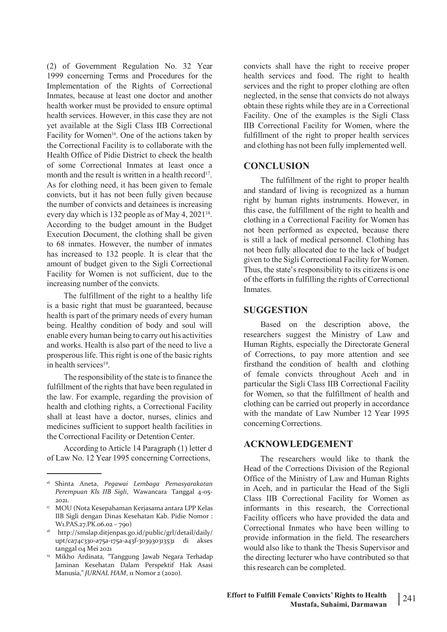(2) of Government Regulation No. 32 Year 1999 concerning Terms and Procedures for the Implementation of the Rights of Correctional Inmates, because at least one doctor and another health worker must be provided to ensure optimal health services. However, in this case they are not yet available at the Sigli Class IIB Correctional Facility for Women<sup>16</sup>. One of the actions taken by fulfillment of the Correctional Facility is to collaborate with the Health Office of Pidie District to check the health of some Correctional Inmates at least once a month and the result is written in a health record<sup>17</sup>. . As for clothing need, it has been given to female convicts, but it has not been fully given because the number of convicts and detainees is increasing every day which is 132 people as of May 4,  $2021^{18}$ . According to the budget amount in the Budget Execution Document, the clothing shall be given to 68 inmates. However, the number of inmates has increased to 132 people. It is clear that the amount of budget given to the Sigli Correctional Facility for Women is not sufficient, due to the increasing number of the convicts.

The fulfillment of the right to a healthy life is a basic right that must be guaranteed, because health is part of the primary needs of every human being. Healthy condition of body and soul will enable every human being to carry out his activities and works. Health is also part of the need to live a prosperous life. This right is one of the basic rights in health services 19 .

The responsibility of the state is to finance the fulfillment of the rights that have been regulated in the law. For example, regarding the provision of health and clothing rights, a Correctional Facility shall at least have a doctor, nurses, clinics and medicines sufficient to support health facilities in the Correctional Facility or Detention Center.

According to Article 14 Paragraph (1) letter d of Law No. 12 Year 1995 concerning Corrections,

convicts shall have the right to receive proper health services and food. The right to health services and the right to proper clothing are often neglected, in the sense that convicts do not always obtain these rights while they are in a Correctional Facility. One of the examples is the Sigli Class IIB Correctional Facility for Women, where the fulfillment of the right to proper health services and clothing has not been fully implemented well.

## **CONCLUSION**

. and the contract of the contract of the contract of the contract of the contract of the contract of the contr<br>. The contract of the contract of the contract of the contract of the contract of the contract of the contract The fulfillment of the right to proper health and standard of living is recognized as a human right by human rights instruments. However, in this case, the fulfillment of the right to health and clothing in a Correctional Facility for Women has not been performed as expected, because there is still a lack of medical personnel. Clothing has not been fully allocated due to the lack of budget given to the Sigli Correctional Facility for Women. Thus, the state's responsibility to its citizens is one of the efforts in fulfilling the rights of Correctional Inmates.

### **SUGGESTION**

Based on the description above, the researchers suggest the Ministry of Law and Human Rights, especially the Directorate General of Corrections, to pay more attention and see firsthand the condition of health and clothing of female convicts throughout Aceh and in particular the Sigli Class IIB Correctional Facility for Women, so that the fulfillment of health and clothing can be carried out properly in accordance with the mandate of Law Number 12 Year 1995 concerning Corrections.

## **ACKNOWLEDGEMENT**

The researchers would like to thank the Head of the Corrections Division of the Regional Office of the Ministry of Law and Human Rights in Aceh, and in particular the Head of the Sigli Class IIB Correctional Facility for Women as informants in this research, the Correctional Facility officers who have provided the data and Correctional Inmates who have been willing to provide information in the field. The researchers would also like to thank the Thesis Supervisor and the directing lecturer who have contributed so that this research can be completed.

<sup>16</sup> Shinta Aneta, *Pegawai Lembaga Pemasyarakatan Perempuan Kls IIB Sigli*, Wawancara Tanggal 4-05- 2021.

<sup>17</sup> MOU (Nota Kesepahaman Kerjasama antara LPP Kelas IIB Sigli dengan Dinas Kesehatan Kab. Pidie Nomor : W1.PAS.27.PK.06.02 – 790)

<sup>18</sup> <http://smslap.ditjenpas.go.id/public/grl/detail/daily/> upt/ca74c330-a75a-175a-a43f-303930313531 di akses tanggal 04 Mei 2021

<sup>19</sup> Mikho Ardinata, "Tanggung Jawab Negara Terhadap Jaminan Kesehatan Dalam Perspektif Hak Asasi Manusia," *JURNAL HAM*, 11 Nomor 2 (2020).